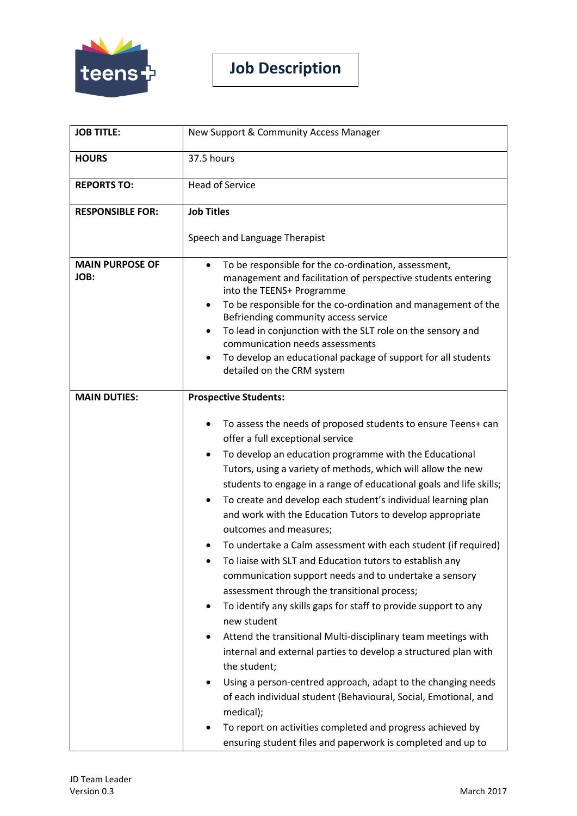

**Job Description**

| <b>JOB TITLE:</b>              | New Support & Community Access Manager                                                                                                                                                                                                                                                                                                                                                                                                                                                                                                                                                                                                                                                                                                                                                                                                                                                                                                                                                                                                                                                                                                                                                                                                                |
|--------------------------------|-------------------------------------------------------------------------------------------------------------------------------------------------------------------------------------------------------------------------------------------------------------------------------------------------------------------------------------------------------------------------------------------------------------------------------------------------------------------------------------------------------------------------------------------------------------------------------------------------------------------------------------------------------------------------------------------------------------------------------------------------------------------------------------------------------------------------------------------------------------------------------------------------------------------------------------------------------------------------------------------------------------------------------------------------------------------------------------------------------------------------------------------------------------------------------------------------------------------------------------------------------|
| <b>HOURS</b>                   | 37.5 hours                                                                                                                                                                                                                                                                                                                                                                                                                                                                                                                                                                                                                                                                                                                                                                                                                                                                                                                                                                                                                                                                                                                                                                                                                                            |
| <b>REPORTS TO:</b>             | <b>Head of Service</b>                                                                                                                                                                                                                                                                                                                                                                                                                                                                                                                                                                                                                                                                                                                                                                                                                                                                                                                                                                                                                                                                                                                                                                                                                                |
| <b>RESPONSIBLE FOR:</b>        | <b>Job Titles</b><br>Speech and Language Therapist                                                                                                                                                                                                                                                                                                                                                                                                                                                                                                                                                                                                                                                                                                                                                                                                                                                                                                                                                                                                                                                                                                                                                                                                    |
| <b>MAIN PURPOSE OF</b><br>JOB: | To be responsible for the co-ordination, assessment,<br>management and facilitation of perspective students entering<br>into the TEENS+ Programme<br>To be responsible for the co-ordination and management of the<br>Befriending community access service<br>To lead in conjunction with the SLT role on the sensory and<br>communication needs assessments<br>To develop an educational package of support for all students<br>detailed on the CRM system                                                                                                                                                                                                                                                                                                                                                                                                                                                                                                                                                                                                                                                                                                                                                                                           |
| <b>MAIN DUTIES:</b>            | <b>Prospective Students:</b><br>To assess the needs of proposed students to ensure Teens+ can<br>offer a full exceptional service<br>To develop an education programme with the Educational<br>Tutors, using a variety of methods, which will allow the new<br>students to engage in a range of educational goals and life skills;<br>To create and develop each student's individual learning plan<br>and work with the Education Tutors to develop appropriate<br>outcomes and measures;<br>To undertake a Calm assessment with each student (if required)<br>To liaise with SLT and Education tutors to establish any<br>communication support needs and to undertake a sensory<br>assessment through the transitional process;<br>To identify any skills gaps for staff to provide support to any<br>new student<br>Attend the transitional Multi-disciplinary team meetings with<br>internal and external parties to develop a structured plan with<br>the student;<br>Using a person-centred approach, adapt to the changing needs<br>of each individual student (Behavioural, Social, Emotional, and<br>medical);<br>To report on activities completed and progress achieved by<br>ensuring student files and paperwork is completed and up to |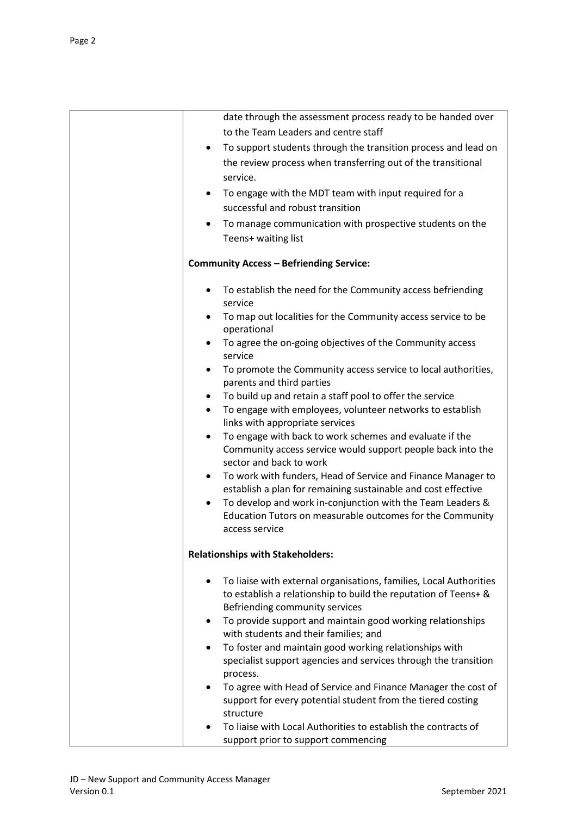| date through the assessment process ready to be handed over<br>to the Team Leaders and centre staff     |
|---------------------------------------------------------------------------------------------------------|
| To support students through the transition process and lead on<br>$\bullet$                             |
| the review process when transferring out of the transitional                                            |
| service.                                                                                                |
| To engage with the MDT team with input required for a<br>٠                                              |
| successful and robust transition                                                                        |
| To manage communication with prospective students on the<br>٠                                           |
| Teens+ waiting list                                                                                     |
| <b>Community Access - Befriending Service:</b>                                                          |
| To establish the need for the Community access befriending<br>service                                   |
| To map out localities for the Community access service to be<br>operational                             |
| To agree the on-going objectives of the Community access<br>service                                     |
| To promote the Community access service to local authorities,<br>$\bullet$<br>parents and third parties |
| To build up and retain a staff pool to offer the service<br>٠                                           |
| To engage with employees, volunteer networks to establish<br>$\bullet$                                  |
| links with appropriate services                                                                         |
| To engage with back to work schemes and evaluate if the<br>٠                                            |
| Community access service would support people back into the                                             |
| sector and back to work<br>To work with funders, Head of Service and Finance Manager to<br>٠            |
| establish a plan for remaining sustainable and cost effective                                           |
| To develop and work in-conjunction with the Team Leaders &<br>$\bullet$                                 |
| Education Tutors on measurable outcomes for the Community                                               |
| access service                                                                                          |
| <b>Relationships with Stakeholders:</b>                                                                 |
| To liaise with external organisations, families, Local Authorities                                      |
| to establish a relationship to build the reputation of Teens+ &                                         |
| Befriending community services                                                                          |
| To provide support and maintain good working relationships<br>٠                                         |
| with students and their families; and                                                                   |
| To foster and maintain good working relationships with<br>٠                                             |
| specialist support agencies and services through the transition<br>process.                             |
| To agree with Head of Service and Finance Manager the cost of                                           |
| support for every potential student from the tiered costing                                             |
| structure                                                                                               |
| To liaise with Local Authorities to establish the contracts of                                          |
| support prior to support commencing                                                                     |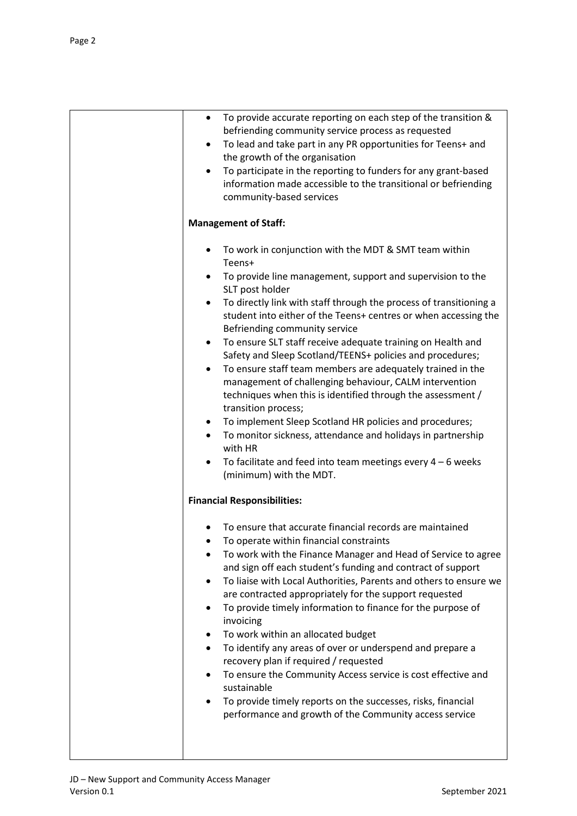| To provide accurate reporting on each step of the transition &<br>٠<br>befriending community service process as requested<br>To lead and take part in any PR opportunities for Teens+ and<br>$\bullet$<br>the growth of the organisation<br>To participate in the reporting to funders for any grant-based<br>information made accessible to the transitional or befriending<br>community-based services                                                                                                                                                                                                                                                                                                                                                                                                                                                                                                                                                                             |
|--------------------------------------------------------------------------------------------------------------------------------------------------------------------------------------------------------------------------------------------------------------------------------------------------------------------------------------------------------------------------------------------------------------------------------------------------------------------------------------------------------------------------------------------------------------------------------------------------------------------------------------------------------------------------------------------------------------------------------------------------------------------------------------------------------------------------------------------------------------------------------------------------------------------------------------------------------------------------------------|
| <b>Management of Staff:</b>                                                                                                                                                                                                                                                                                                                                                                                                                                                                                                                                                                                                                                                                                                                                                                                                                                                                                                                                                          |
| To work in conjunction with the MDT & SMT team within<br>Teens+<br>To provide line management, support and supervision to the<br>٠<br>SLT post holder<br>To directly link with staff through the process of transitioning a<br>$\bullet$<br>student into either of the Teens+ centres or when accessing the<br>Befriending community service<br>To ensure SLT staff receive adequate training on Health and<br>$\bullet$<br>Safety and Sleep Scotland/TEENS+ policies and procedures;<br>To ensure staff team members are adequately trained in the<br>٠<br>management of challenging behaviour, CALM intervention<br>techniques when this is identified through the assessment /<br>transition process;<br>To implement Sleep Scotland HR policies and procedures;<br>٠<br>To monitor sickness, attendance and holidays in partnership<br>with HR<br>To facilitate and feed into team meetings every $4 - 6$ weeks<br>(minimum) with the MDT.<br><b>Financial Responsibilities:</b> |
| To ensure that accurate financial records are maintained<br>To operate within financial constraints<br>To work with the Finance Manager and Head of Service to agree<br>and sign off each student's funding and contract of support<br>To liaise with Local Authorities, Parents and others to ensure we<br>٠<br>are contracted appropriately for the support requested<br>To provide timely information to finance for the purpose of<br>٠<br>invoicing<br>To work within an allocated budget<br>To identify any areas of over or underspend and prepare a<br>$\bullet$<br>recovery plan if required / requested<br>To ensure the Community Access service is cost effective and<br>sustainable<br>To provide timely reports on the successes, risks, financial<br>٠<br>performance and growth of the Community access service                                                                                                                                                      |